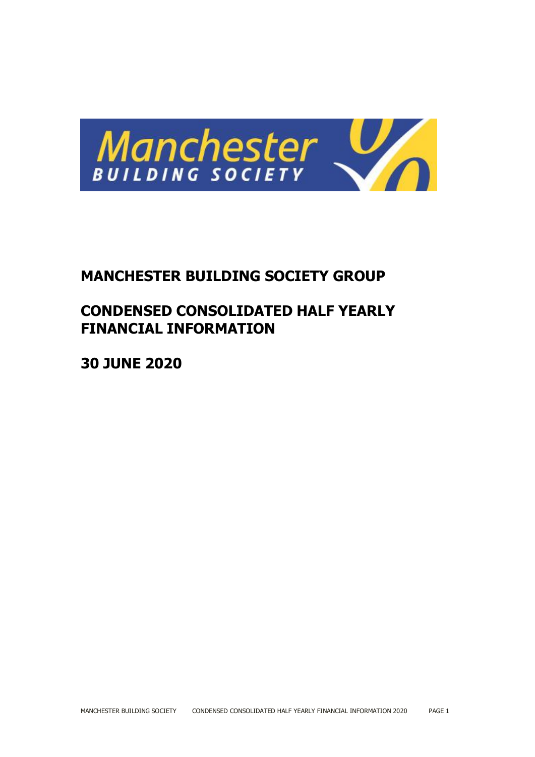

# **MANCHESTER BUILDING SOCIETY GROUP**

# **CONDENSED CONSOLIDATED HALF YEARLY FINANCIAL INFORMATION**

**30 JUNE 2020**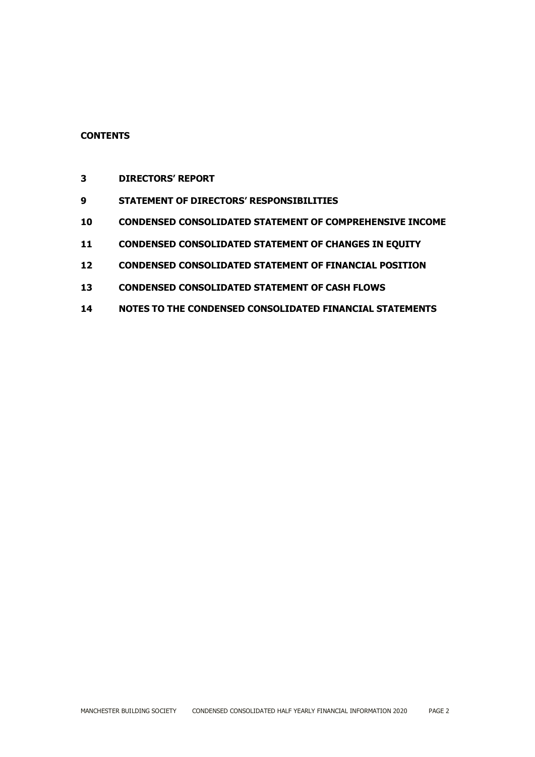# **CONTENTS**

- **DIRECTORS' REPORT**
- **STATEMENT OF DIRECTORS' RESPONSIBILITIES**
- **CONDENSED CONSOLIDATED STATEMENT OF COMPREHENSIVE INCOME**
- **CONDENSED CONSOLIDATED STATEMENT OF CHANGES IN EQUITY**
- **CONDENSED CONSOLIDATED STATEMENT OF FINANCIAL POSITION**
- **CONDENSED CONSOLIDATED STATEMENT OF CASH FLOWS**
- **NOTES TO THE CONDENSED CONSOLIDATED FINANCIAL STATEMENTS**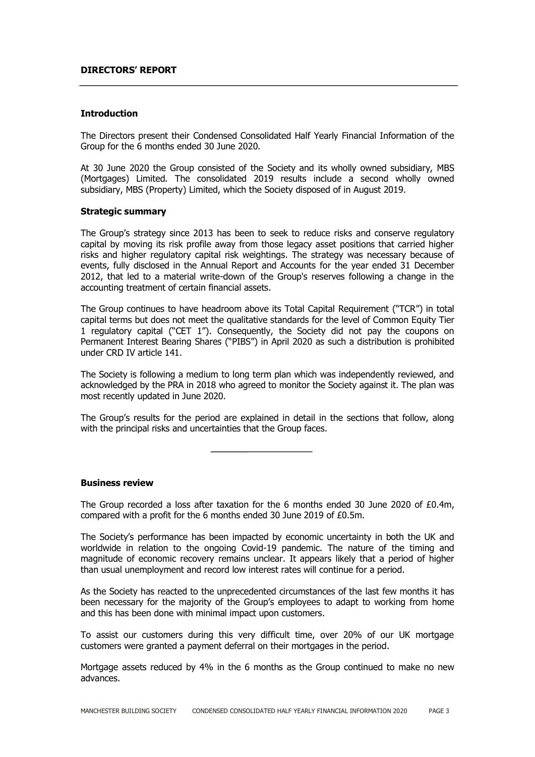#### **DIRECTORS' REPORT**

#### **Introduction**

The Directors present their Condensed Consolidated Half Yearly Financial Information of the Group for the 6 months ended 30 June 2020.

At 30 June 2020 the Group consisted of the Society and its wholly owned subsidiary, MBS (Mortgages) Limited. The consolidated 2019 results include a second wholly owned subsidiary, MBS (Property) Limited, which the Society disposed of in August 2019.

#### **Strategic summary**

The Group's strategy since 2013 has been to seek to reduce risks and conserve regulatory capital by moving its risk profile away from those legacy asset positions that carried higher risks and higher regulatory capital risk weightings. The strategy was necessary because of events, fully disclosed in the Annual Report and Accounts for the year ended 31 December 2012, that led to a material write-down of the Group's reserves following a change in the accounting treatment of certain financial assets.

The Group continues to have headroom above its Total Capital Requirement ("TCR") in total capital terms but does not meet the qualitative standards for the level of Common Equity Tier 1 regulatory capital ("CET 1"). Consequently, the Society did not pay the coupons on Permanent Interest Bearing Shares ("PIBS") in April 2020 as such a distribution is prohibited under CRD IV article 141.

The Society is following a medium to long term plan which was independently reviewed, and acknowledged by the PRA in 2018 who agreed to monitor the Society against it. The plan was most recently updated in June 2020.

The Group's results for the period are explained in detail in the sections that follow, along with the principal risks and uncertainties that the Group faces.

**Business review**

The Group recorded a loss after taxation for the 6 months ended 30 June 2020 of £0.4m, compared with a profit for the 6 months ended 30 June 2019 of £0.5m.

The Society's performance has been impacted by economic uncertainty in both the UK and worldwide in relation to the ongoing Covid-19 pandemic. The nature of the timing and magnitude of economic recovery remains unclear. It appears likely that a period of higher than usual unemployment and record low interest rates will continue for a period.

As the Society has reacted to the unprecedented circumstances of the last few months it has been necessary for the majority of the Group's employees to adapt to working from home and this has been done with minimal impact upon customers.

To assist our customers during this very difficult time, over 20% of our UK mortgage customers were granted a payment deferral on their mortgages in the period.

Mortgage assets reduced by 4% in the 6 months as the Group continued to make no new advances.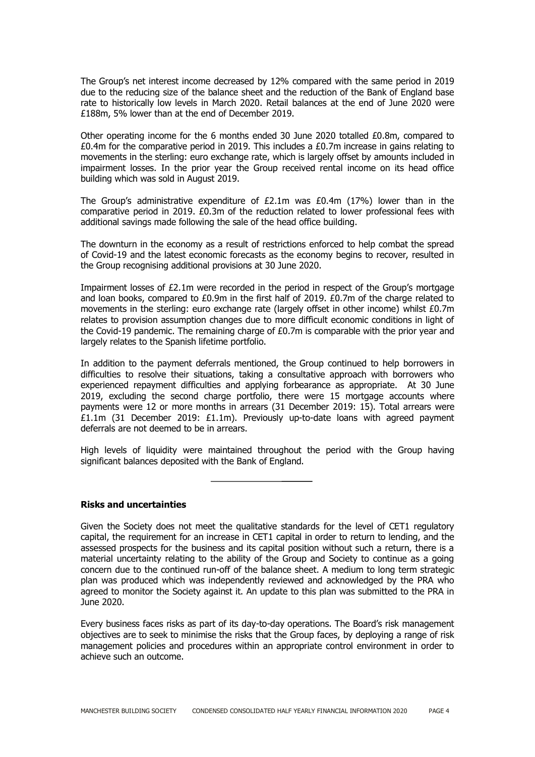The Group's net interest income decreased by 12% compared with the same period in 2019 due to the reducing size of the balance sheet and the reduction of the Bank of England base rate to historically low levels in March 2020. Retail balances at the end of June 2020 were £188m, 5% lower than at the end of December 2019.

Other operating income for the 6 months ended 30 June 2020 totalled £0.8m, compared to  $£0.4$ m for the comparative period in 2019. This includes a  $£0.7$ m increase in gains relating to movements in the sterling: euro exchange rate, which is largely offset by amounts included in impairment losses. In the prior year the Group received rental income on its head office building which was sold in August 2019.

The Group's administrative expenditure of £2.1m was £0.4m (17%) lower than in the comparative period in 2019. £0.3m of the reduction related to lower professional fees with additional savings made following the sale of the head office building.

The downturn in the economy as a result of restrictions enforced to help combat the spread of Covid-19 and the latest economic forecasts as the economy begins to recover, resulted in the Group recognising additional provisions at 30 June 2020.

Impairment losses of £2.1m were recorded in the period in respect of the Group's mortgage and loan books, compared to  $£0.9m$  in the first half of 2019.  $£0.7m$  of the charge related to movements in the sterling: euro exchange rate (largely offset in other income) whilst £0.7m relates to provision assumption changes due to more difficult economic conditions in light of the Covid-19 pandemic. The remaining charge of £0.7m is comparable with the prior year and largely relates to the Spanish lifetime portfolio.

In addition to the payment deferrals mentioned, the Group continued to help borrowers in difficulties to resolve their situations, taking a consultative approach with borrowers who experienced repayment difficulties and applying forbearance as appropriate. At 30 June 2019, excluding the second charge portfolio, there were 15 mortgage accounts where payments were 12 or more months in arrears (31 December 2019: 15). Total arrears were £1.1m (31 December 2019: £1.1m). Previously up-to-date loans with agreed payment deferrals are not deemed to be in arrears.

High levels of liquidity were maintained throughout the period with the Group having significant balances deposited with the Bank of England.

**Risks and uncertainties**

Given the Society does not meet the qualitative standards for the level of CET1 regulatory capital, the requirement for an increase in CET1 capital in order to return to lending, and the assessed prospects for the business and its capital position without such a return, there is a material uncertainty relating to the ability of the Group and Society to continue as a going concern due to the continued run-off of the balance sheet. A medium to long term strategic plan was produced which was independently reviewed and acknowledged by the PRA who agreed to monitor the Society against it. An update to this plan was submitted to the PRA in June 2020.

Every business faces risks as part of its day-to-day operations. The Board's risk management objectives are to seek to minimise the risks that the Group faces, by deploying a range of risk management policies and procedures within an appropriate control environment in order to achieve such an outcome.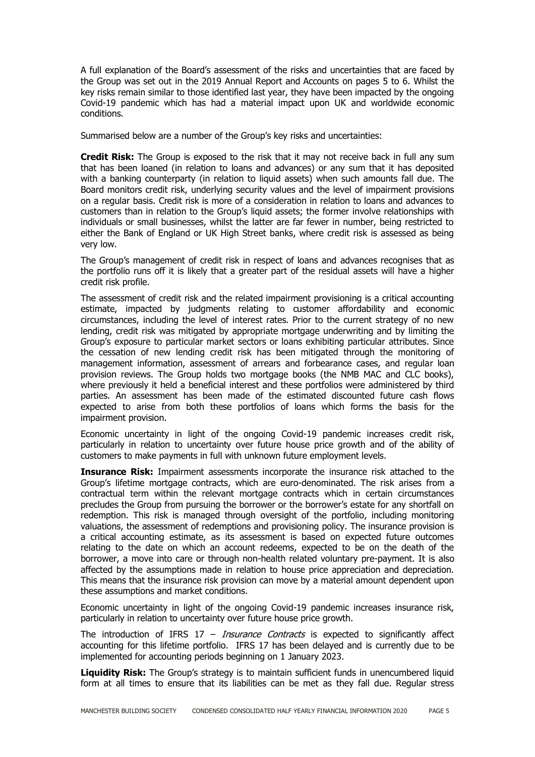A full explanation of the Board's assessment of the risks and uncertainties that are faced by the Group was set out in the 2019 Annual Report and Accounts on pages 5 to 6. Whilst the key risks remain similar to those identified last year, they have been impacted by the ongoing Covid-19 pandemic which has had a material impact upon UK and worldwide economic conditions.

Summarised below are a number of the Group's key risks and uncertainties:

**Credit Risk:** The Group is exposed to the risk that it may not receive back in full any sum that has been loaned (in relation to loans and advances) or any sum that it has deposited with a banking counterparty (in relation to liquid assets) when such amounts fall due. The Board monitors credit risk, underlying security values and the level of impairment provisions on a regular basis. Credit risk is more of a consideration in relation to loans and advances to customers than in relation to the Group's liquid assets; the former involve relationships with individuals or small businesses, whilst the latter are far fewer in number, being restricted to either the Bank of England or UK High Street banks, where credit risk is assessed as being very low.

The Group's management of credit risk in respect of loans and advances recognises that as the portfolio runs off it is likely that a greater part of the residual assets will have a higher credit risk profile.

The assessment of credit risk and the related impairment provisioning is a critical accounting estimate, impacted by judgments relating to customer affordability and economic circumstances, including the level of interest rates. Prior to the current strategy of no new lending, credit risk was mitigated by appropriate mortgage underwriting and by limiting the Group's exposure to particular market sectors or loans exhibiting particular attributes. Since the cessation of new lending credit risk has been mitigated through the monitoring of management information, assessment of arrears and forbearance cases, and regular loan provision reviews. The Group holds two mortgage books (the NMB MAC and CLC books), where previously it held a beneficial interest and these portfolios were administered by third parties. An assessment has been made of the estimated discounted future cash flows expected to arise from both these portfolios of loans which forms the basis for the impairment provision.

Economic uncertainty in light of the ongoing Covid-19 pandemic increases credit risk, particularly in relation to uncertainty over future house price growth and of the ability of customers to make payments in full with unknown future employment levels.

**Insurance Risk:** Impairment assessments incorporate the insurance risk attached to the Group's lifetime mortgage contracts, which are euro-denominated. The risk arises from a contractual term within the relevant mortgage contracts which in certain circumstances precludes the Group from pursuing the borrower or the borrower's estate for any shortfall on redemption. This risk is managed through oversight of the portfolio, including monitoring valuations, the assessment of redemptions and provisioning policy. The insurance provision is a critical accounting estimate, as its assessment is based on expected future outcomes relating to the date on which an account redeems, expected to be on the death of the borrower, a move into care or through non-health related voluntary pre-payment. It is also affected by the assumptions made in relation to house price appreciation and depreciation. This means that the insurance risk provision can move by a material amount dependent upon these assumptions and market conditions.

Economic uncertainty in light of the ongoing Covid-19 pandemic increases insurance risk, particularly in relation to uncertainty over future house price growth.

The introduction of IFRS  $17$  – *Insurance Contracts* is expected to significantly affect accounting for this lifetime portfolio. IFRS 17 has been delayed and is currently due to be implemented for accounting periods beginning on 1 January 2023.

**Liquidity Risk:** The Group's strategy is to maintain sufficient funds in unencumbered liquid form at all times to ensure that its liabilities can be met as they fall due. Regular stress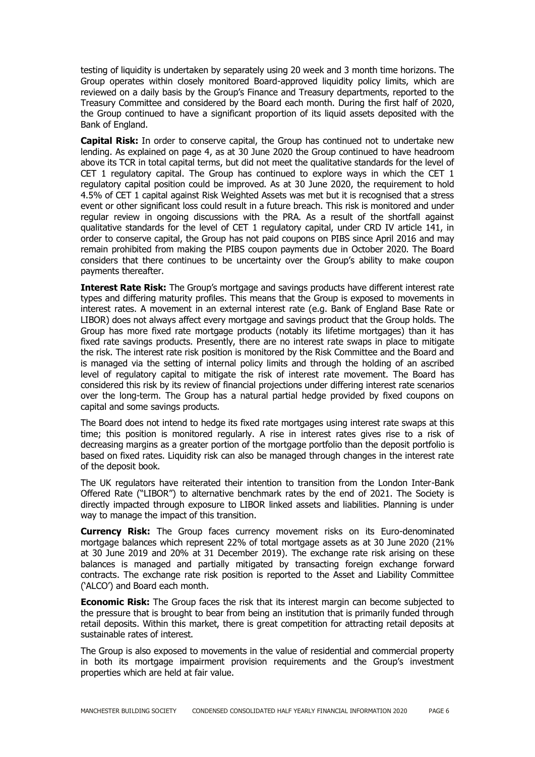testing of liquidity is undertaken by separately using 20 week and 3 month time horizons. The Group operates within closely monitored Board-approved liquidity policy limits, which are reviewed on a daily basis by the Group's Finance and Treasury departments, reported to the Treasury Committee and considered by the Board each month. During the first half of 2020, the Group continued to have a significant proportion of its liquid assets deposited with the Bank of England.

**Capital Risk:** In order to conserve capital, the Group has continued not to undertake new lending. As explained on page 4, as at 30 June 2020 the Group continued to have headroom above its TCR in total capital terms, but did not meet the qualitative standards for the level of CET 1 regulatory capital. The Group has continued to explore ways in which the CET 1 regulatory capital position could be improved. As at 30 June 2020, the requirement to hold 4.5% of CET 1 capital against Risk Weighted Assets was met but it is recognised that a stress event or other significant loss could result in a future breach. This risk is monitored and under regular review in ongoing discussions with the PRA. As a result of the shortfall against qualitative standards for the level of CET 1 regulatory capital, under CRD IV article 141, in order to conserve capital, the Group has not paid coupons on PIBS since April 2016 and may remain prohibited from making the PIBS coupon payments due in October 2020. The Board considers that there continues to be uncertainty over the Group's ability to make coupon payments thereafter.

**Interest Rate Risk:** The Group's mortgage and savings products have different interest rate types and differing maturity profiles. This means that the Group is exposed to movements in interest rates. A movement in an external interest rate (e.g. Bank of England Base Rate or LIBOR) does not always affect every mortgage and savings product that the Group holds. The Group has more fixed rate mortgage products (notably its lifetime mortgages) than it has fixed rate savings products. Presently, there are no interest rate swaps in place to mitigate the risk. The interest rate risk position is monitored by the Risk Committee and the Board and is managed via the setting of internal policy limits and through the holding of an ascribed level of regulatory capital to mitigate the risk of interest rate movement. The Board has considered this risk by its review of financial projections under differing interest rate scenarios over the long-term. The Group has a natural partial hedge provided by fixed coupons on capital and some savings products.

The Board does not intend to hedge its fixed rate mortgages using interest rate swaps at this time; this position is monitored regularly. A rise in interest rates gives rise to a risk of decreasing margins as a greater portion of the mortgage portfolio than the deposit portfolio is based on fixed rates. Liquidity risk can also be managed through changes in the interest rate of the deposit book.

The UK regulators have reiterated their intention to transition from the London Inter-Bank Offered Rate ("LIBOR") to alternative benchmark rates by the end of 2021. The Society is directly impacted through exposure to LIBOR linked assets and liabilities. Planning is under way to manage the impact of this transition.

**Currency Risk:** The Group faces currency movement risks on its Euro-denominated mortgage balances which represent 22% of total mortgage assets as at 30 June 2020 (21% at 30 June 2019 and 20% at 31 December 2019). The exchange rate risk arising on these balances is managed and partially mitigated by transacting foreign exchange forward contracts. The exchange rate risk position is reported to the Asset and Liability Committee ('ALCO') and Board each month.

**Economic Risk:** The Group faces the risk that its interest margin can become subjected to the pressure that is brought to bear from being an institution that is primarily funded through retail deposits. Within this market, there is great competition for attracting retail deposits at sustainable rates of interest.

The Group is also exposed to movements in the value of residential and commercial property in both its mortgage impairment provision requirements and the Group's investment properties which are held at fair value.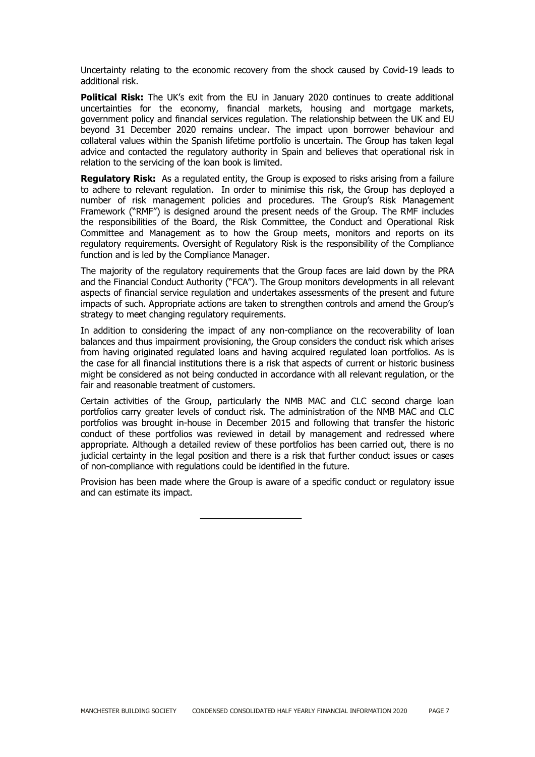Uncertainty relating to the economic recovery from the shock caused by Covid-19 leads to additional risk.

**Political Risk:** The UK's exit from the EU in January 2020 continues to create additional uncertainties for the economy, financial markets, housing and mortgage markets, government policy and financial services regulation. The relationship between the UK and EU beyond 31 December 2020 remains unclear. The impact upon borrower behaviour and collateral values within the Spanish lifetime portfolio is uncertain. The Group has taken legal advice and contacted the regulatory authority in Spain and believes that operational risk in relation to the servicing of the loan book is limited.

**Regulatory Risk:** As a regulated entity, the Group is exposed to risks arising from a failure to adhere to relevant regulation. In order to minimise this risk, the Group has deployed a number of risk management policies and procedures. The Group's Risk Management Framework ("RMF") is designed around the present needs of the Group. The RMF includes the responsibilities of the Board, the Risk Committee, the Conduct and Operational Risk Committee and Management as to how the Group meets, monitors and reports on its regulatory requirements. Oversight of Regulatory Risk is the responsibility of the Compliance function and is led by the Compliance Manager.

The majority of the regulatory requirements that the Group faces are laid down by the PRA and the Financial Conduct Authority ("FCA"). The Group monitors developments in all relevant aspects of financial service regulation and undertakes assessments of the present and future impacts of such. Appropriate actions are taken to strengthen controls and amend the Group's strategy to meet changing regulatory requirements.

In addition to considering the impact of any non-compliance on the recoverability of loan balances and thus impairment provisioning, the Group considers the conduct risk which arises from having originated regulated loans and having acquired regulated loan portfolios. As is the case for all financial institutions there is a risk that aspects of current or historic business might be considered as not being conducted in accordance with all relevant regulation, or the fair and reasonable treatment of customers.

Certain activities of the Group, particularly the NMB MAC and CLC second charge loan portfolios carry greater levels of conduct risk. The administration of the NMB MAC and CLC portfolios was brought in-house in December 2015 and following that transfer the historic conduct of these portfolios was reviewed in detail by management and redressed where appropriate. Although a detailed review of these portfolios has been carried out, there is no judicial certainty in the legal position and there is a risk that further conduct issues or cases of non-compliance with regulations could be identified in the future.

Provision has been made where the Group is aware of a specific conduct or regulatory issue and can estimate its impact.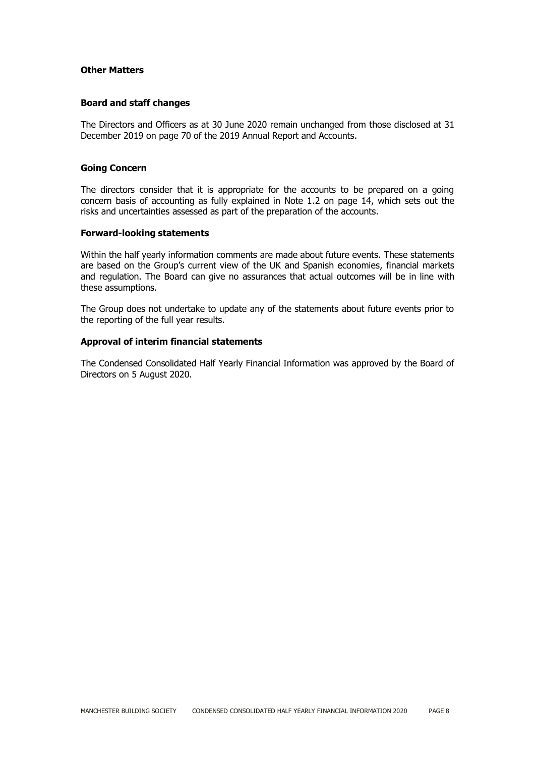#### **Other Matters**

#### **Board and staff changes**

The Directors and Officers as at 30 June 2020 remain unchanged from those disclosed at 31 December 2019 on page 70 of the 2019 Annual Report and Accounts.

#### **Going Concern**

The directors consider that it is appropriate for the accounts to be prepared on a going concern basis of accounting as fully explained in Note 1.2 on page 14, which sets out the risks and uncertainties assessed as part of the preparation of the accounts.

#### **Forward-looking statements**

Within the half yearly information comments are made about future events. These statements are based on the Group's current view of the UK and Spanish economies, financial markets and regulation. The Board can give no assurances that actual outcomes will be in line with these assumptions.

The Group does not undertake to update any of the statements about future events prior to the reporting of the full year results.

#### **Approval of interim financial statements**

The Condensed Consolidated Half Yearly Financial Information was approved by the Board of Directors on 5 August 2020.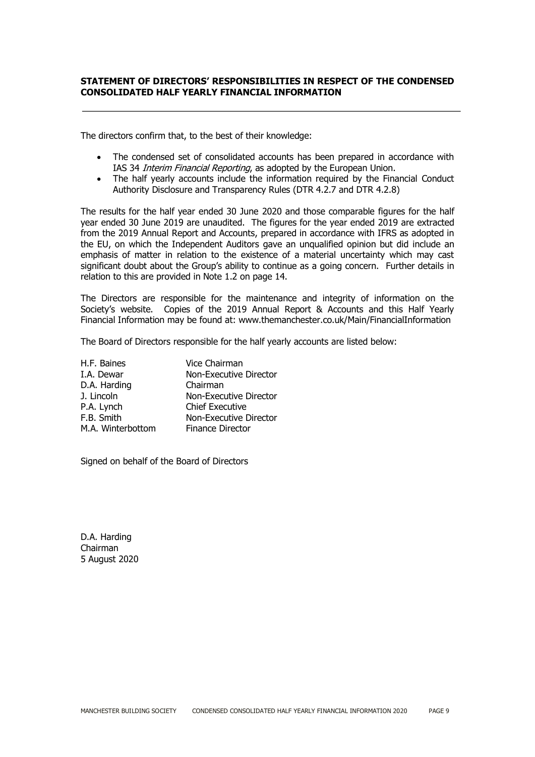# **STATEMENT OF DIRECTORS' RESPONSIBILITIES IN RESPECT OF THE CONDENSED CONSOLIDATED HALF YEARLY FINANCIAL INFORMATION**

The directors confirm that, to the best of their knowledge:

- The condensed set of consolidated accounts has been prepared in accordance with IAS 34 Interim Financial Reporting, as adopted by the European Union.
- The half yearly accounts include the information required by the Financial Conduct Authority Disclosure and Transparency Rules (DTR 4.2.7 and DTR 4.2.8)

The results for the half year ended 30 June 2020 and those comparable figures for the half year ended 30 June 2019 are unaudited. The figures for the year ended 2019 are extracted from the 2019 Annual Report and Accounts, prepared in accordance with IFRS as adopted in the EU, on which the Independent Auditors gave an unqualified opinion but did include an emphasis of matter in relation to the existence of a material uncertainty which may cast significant doubt about the Group's ability to continue as a going concern. Further details in relation to this are provided in Note 1.2 on page 14.

The Directors are responsible for the maintenance and integrity of information on the Society's website. Copies of the 2019 Annual Report & Accounts and this Half Yearly Financial Information may be found at: www.themanchester.co.uk/Main/FinancialInformation

The Board of Directors responsible for the half yearly accounts are listed below:

| H.F. Baines       | Vice Chairman           |
|-------------------|-------------------------|
| I.A. Dewar        | Non-Executive Director  |
| D.A. Harding      | Chairman                |
| J. Lincoln        | Non-Executive Director  |
| P.A. Lynch        | <b>Chief Executive</b>  |
| F.B. Smith        | Non-Executive Director  |
| M.A. Winterbottom | <b>Finance Director</b> |

Signed on behalf of the Board of Directors

D.A. Harding Chairman 5 August 2020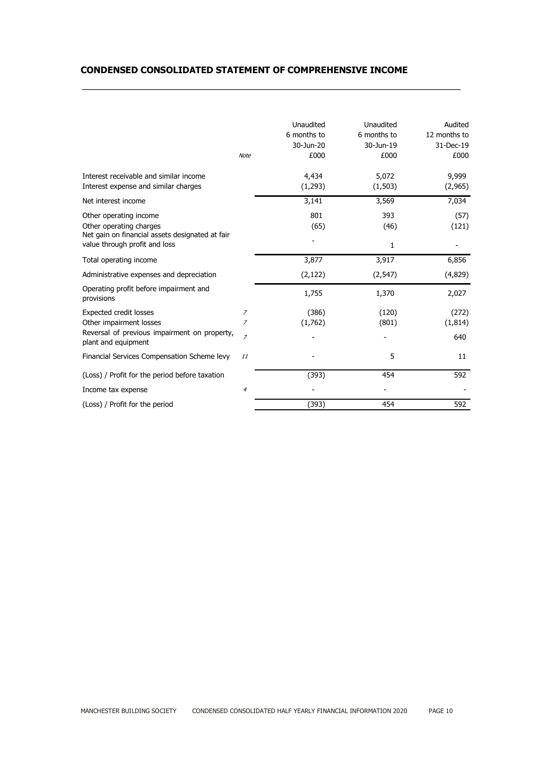# **CONDENSED CONSOLIDATED STATEMENT OF COMPREHENSIVE INCOME**

|                                                                                                                                       | <b>Note</b>              | Unaudited<br>6 months to<br>30-Jun-20<br>£000 | Unaudited<br>6 months to<br>30-Jun-19<br>£000 | Audited<br>12 months to<br>31-Dec-19<br>£000 |
|---------------------------------------------------------------------------------------------------------------------------------------|--------------------------|-----------------------------------------------|-----------------------------------------------|----------------------------------------------|
| Interest receivable and similar income<br>Interest expense and similar charges                                                        |                          | 4,434<br>(1,293)                              | 5,072<br>(1, 503)                             | 9,999<br>(2,965)                             |
| Net interest income                                                                                                                   |                          | 3,141                                         | 3,569                                         | 7,034                                        |
| Other operating income<br>Other operating charges<br>Net gain on financial assets designated at fair<br>value through profit and loss |                          | 801<br>(65)                                   | 393<br>(46)<br>1                              | (57)<br>(121)                                |
| Total operating income                                                                                                                |                          | 3,877                                         | 3,917                                         | 6,856                                        |
| Administrative expenses and depreciation                                                                                              |                          | (2, 122)                                      | (2, 547)                                      | (4,829)                                      |
| Operating profit before impairment and<br>provisions                                                                                  |                          | 1,755                                         | 1,370                                         | 2,027                                        |
| <b>Expected credit losses</b><br>Other impairment losses<br>Reversal of previous impairment on property,<br>plant and equipment       | 7<br>7<br>$\overline{z}$ | (386)<br>(1,762)                              | (120)<br>(801)                                | (272)<br>(1,814)<br>640                      |
| Financial Services Compensation Scheme levy                                                                                           | 11                       |                                               | 5                                             | 11                                           |
| (Loss) / Profit for the period before taxation                                                                                        |                          | (393)                                         | 454                                           | 592                                          |
| Income tax expense                                                                                                                    | $\overline{4}$           |                                               |                                               |                                              |
| (Loss) / Profit for the period                                                                                                        |                          | (393)                                         | 454                                           | 592                                          |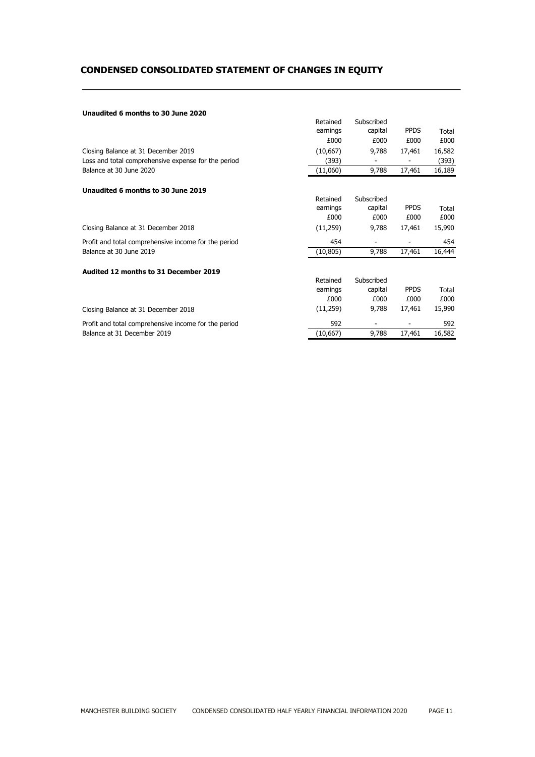# **CONDENSED CONSOLIDATED STATEMENT OF CHANGES IN EQUITY**

#### **Unaudited 6 months to 30 June 2020**

|                                                      | Retained  | Subscribed |             |        |
|------------------------------------------------------|-----------|------------|-------------|--------|
|                                                      | earnings  | capital    | <b>PPDS</b> | Total  |
|                                                      | £000      | £000       | £000        | £000   |
| Closing Balance at 31 December 2019                  | (10,667)  | 9,788      | 17,461      | 16,582 |
| Loss and total comprehensive expense for the period  | (393)     |            | -           | (393)  |
| Balance at 30 June 2020                              | (11,060)  | 9,788      | 17,461      | 16,189 |
| Unaudited 6 months to 30 June 2019                   |           |            |             |        |
|                                                      | Retained  | Subscribed |             |        |
|                                                      | earnings  | capital    | <b>PPDS</b> | Total  |
|                                                      | £000      | £000       | £000        | £000   |
| Closing Balance at 31 December 2018                  | (11,259)  | 9,788      | 17,461      | 15,990 |
| Profit and total comprehensive income for the period | 454       |            |             | 454    |
| Balance at 30 June 2019                              | (10, 805) | 9,788      | 17,461      | 16,444 |
| Audited 12 months to 31 December 2019                |           |            |             |        |
|                                                      | Retained  | Subscribed |             |        |
|                                                      | earnings  | capital    | <b>PPDS</b> | Total  |
|                                                      | £000      | £000       | £000        | £000   |
| Closing Balance at 31 December 2018                  | (11,259)  | 9,788      | 17,461      | 15,990 |
| Profit and total comprehensive income for the period | 592       |            |             | 592    |
| Balance at 31 December 2019                          | (10, 667) | 9,788      | 17,461      | 16,582 |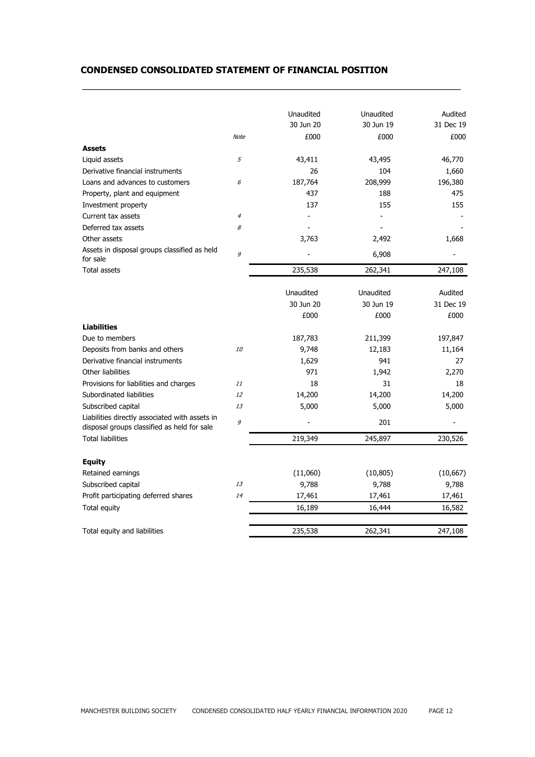# **CONDENSED CONSOLIDATED STATEMENT OF FINANCIAL POSITION**

|                                                                                               |                | Unaudited | Unaudited | Audited   |
|-----------------------------------------------------------------------------------------------|----------------|-----------|-----------|-----------|
|                                                                                               |                | 30 Jun 20 | 30 Jun 19 | 31 Dec 19 |
|                                                                                               | <b>Note</b>    | £000      | £000      | £000      |
| <b>Assets</b>                                                                                 |                |           |           |           |
| Liquid assets                                                                                 | 5              | 43,411    | 43,495    | 46,770    |
| Derivative financial instruments                                                              |                | 26        | 104       | 1,660     |
| Loans and advances to customers                                                               | 6              | 187,764   | 208,999   | 196,380   |
| Property, plant and equipment                                                                 |                | 437       | 188       | 475       |
| Investment property                                                                           |                | 137       | 155       | 155       |
| Current tax assets                                                                            | $\overline{4}$ |           |           |           |
| Deferred tax assets                                                                           | 8              |           |           |           |
| Other assets                                                                                  |                | 3,763     | 2,492     | 1,668     |
| Assets in disposal groups classified as held<br>for sale                                      | 9              |           | 6,908     |           |
| Total assets                                                                                  |                | 235,538   | 262,341   | 247,108   |
|                                                                                               |                |           |           |           |
|                                                                                               |                | Unaudited | Unaudited | Audited   |
|                                                                                               |                | 30 Jun 20 | 30 Jun 19 | 31 Dec 19 |
|                                                                                               |                | £000      | £000      | £000      |
| <b>Liabilities</b>                                                                            |                |           |           |           |
| Due to members                                                                                |                | 187,783   | 211,399   | 197,847   |
| Deposits from banks and others                                                                | <i>10</i>      | 9,748     | 12,183    | 11,164    |
| Derivative financial instruments                                                              |                | 1,629     | 941       | 27        |
| Other liabilities                                                                             |                | 971       | 1,942     | 2,270     |
| Provisions for liabilities and charges                                                        | 11             | 18        | 31        | 18        |
| Subordinated liabilities                                                                      | 12             | 14,200    | 14,200    | 14,200    |
| Subscribed capital                                                                            | 13             | 5,000     | 5,000     | 5,000     |
| Liabilities directly associated with assets in<br>disposal groups classified as held for sale | 9              |           | 201       |           |
| <b>Total liabilities</b>                                                                      |                | 219,349   | 245,897   | 230,526   |
|                                                                                               |                |           |           |           |
| <b>Equity</b>                                                                                 |                |           |           |           |
| Retained earnings                                                                             |                | (11,060)  | (10, 805) | (10, 667) |
| Subscribed capital                                                                            | 13             | 9,788     | 9,788     | 9,788     |
| Profit participating deferred shares                                                          | 14             | 17,461    | 17,461    | 17,461    |
| Total equity                                                                                  |                | 16,189    | 16,444    | 16,582    |
| Total equity and liabilities                                                                  |                | 235,538   | 262,341   | 247,108   |
|                                                                                               |                |           |           |           |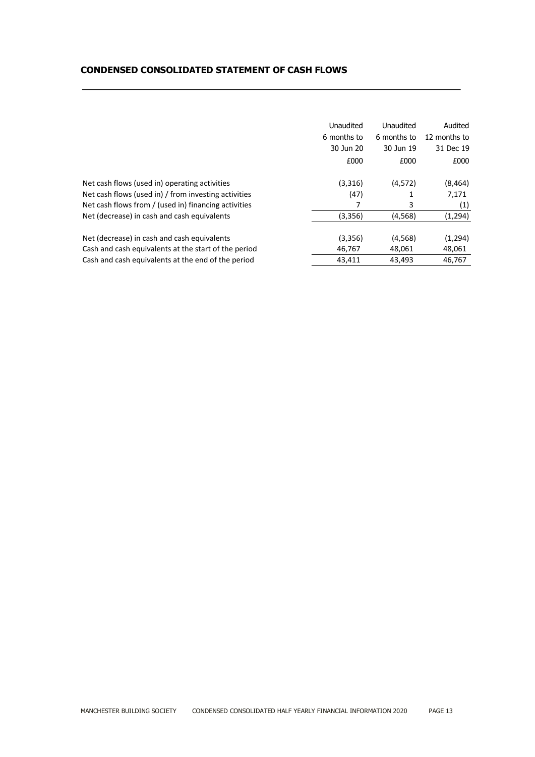# **CONDENSED CONSOLIDATED STATEMENT OF CASH FLOWS**

|                                                      | Unaudited   | Unaudited   | Audited      |
|------------------------------------------------------|-------------|-------------|--------------|
|                                                      | 6 months to | 6 months to | 12 months to |
|                                                      | 30 Jun 20   | 30 Jun 19   | 31 Dec 19    |
|                                                      | £000        | £000        | £000         |
| Net cash flows (used in) operating activities        | (3,316)     | (4,572)     | (8, 464)     |
| Net cash flows (used in) / from investing activities | (47)        | 1           | 7,171        |
| Net cash flows from / (used in) financing activities | 7           | 3           | (1)          |
| Net (decrease) in cash and cash equivalents          | (3,356)     | (4, 568)    | (1, 294)     |
| Net (decrease) in cash and cash equivalents          | (3,356)     | (4, 568)    | (1, 294)     |
| Cash and cash equivalents at the start of the period | 46,767      | 48,061      | 48,061       |
| Cash and cash equivalents at the end of the period   | 43,411      | 43,493      | 46,767       |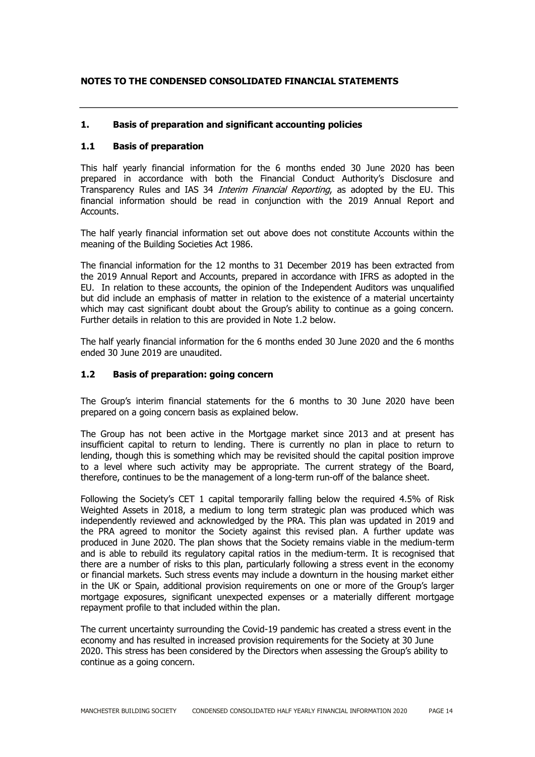# **NOTES TO THE CONDENSED CONSOLIDATED FINANCIAL STATEMENTS**

## **1. Basis of preparation and significant accounting policies**

# **1.1 Basis of preparation**

This half yearly financial information for the 6 months ended 30 June 2020 has been prepared in accordance with both the Financial Conduct Authority's Disclosure and Transparency Rules and IAS 34 *Interim Financial Reporting*, as adopted by the EU. This financial information should be read in conjunction with the 2019 Annual Report and Accounts.

The half yearly financial information set out above does not constitute Accounts within the meaning of the Building Societies Act 1986.

The financial information for the 12 months to 31 December 2019 has been extracted from the 2019 Annual Report and Accounts, prepared in accordance with IFRS as adopted in the EU. In relation to these accounts, the opinion of the Independent Auditors was unqualified but did include an emphasis of matter in relation to the existence of a material uncertainty which may cast significant doubt about the Group's ability to continue as a going concern. Further details in relation to this are provided in Note 1.2 below.

The half yearly financial information for the 6 months ended 30 June 2020 and the 6 months ended 30 June 2019 are unaudited.

#### **1.2 Basis of preparation: going concern**

The Group's interim financial statements for the 6 months to 30 June 2020 have been prepared on a going concern basis as explained below.

The Group has not been active in the Mortgage market since 2013 and at present has insufficient capital to return to lending. There is currently no plan in place to return to lending, though this is something which may be revisited should the capital position improve to a level where such activity may be appropriate. The current strategy of the Board, therefore, continues to be the management of a long-term run-off of the balance sheet.

Following the Society's CET 1 capital temporarily falling below the required 4.5% of Risk Weighted Assets in 2018, a medium to long term strategic plan was produced which was independently reviewed and acknowledged by the PRA. This plan was updated in 2019 and the PRA agreed to monitor the Society against this revised plan. A further update was produced in June 2020. The plan shows that the Society remains viable in the medium-term and is able to rebuild its regulatory capital ratios in the medium-term. It is recognised that there are a number of risks to this plan, particularly following a stress event in the economy or financial markets. Such stress events may include a downturn in the housing market either in the UK or Spain, additional provision requirements on one or more of the Group's larger mortgage exposures, significant unexpected expenses or a materially different mortgage repayment profile to that included within the plan.

The current uncertainty surrounding the Covid-19 pandemic has created a stress event in the economy and has resulted in increased provision requirements for the Society at 30 June 2020. This stress has been considered by the Directors when assessing the Group's ability to continue as a going concern.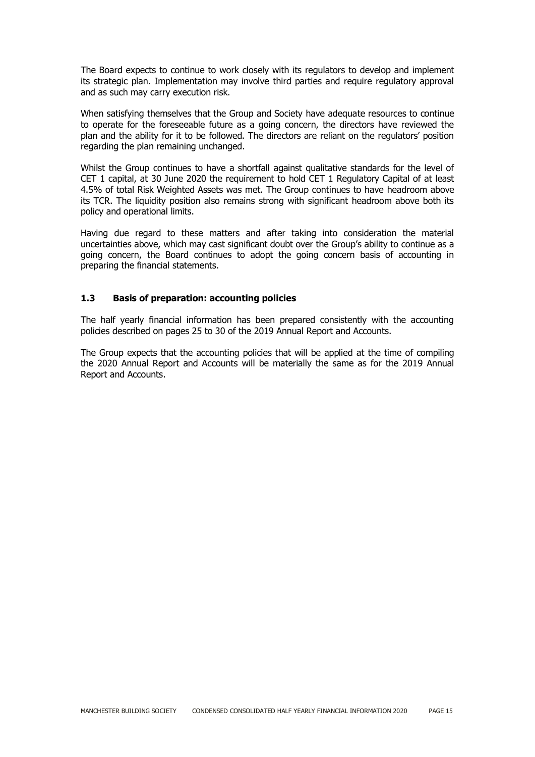The Board expects to continue to work closely with its regulators to develop and implement its strategic plan. Implementation may involve third parties and require regulatory approval and as such may carry execution risk.

When satisfying themselves that the Group and Society have adequate resources to continue to operate for the foreseeable future as a going concern, the directors have reviewed the plan and the ability for it to be followed. The directors are reliant on the regulators' position regarding the plan remaining unchanged.

Whilst the Group continues to have a shortfall against qualitative standards for the level of CET 1 capital, at 30 June 2020 the requirement to hold CET 1 Regulatory Capital of at least 4.5% of total Risk Weighted Assets was met. The Group continues to have headroom above its TCR. The liquidity position also remains strong with significant headroom above both its policy and operational limits.

Having due regard to these matters and after taking into consideration the material uncertainties above, which may cast significant doubt over the Group's ability to continue as a going concern, the Board continues to adopt the going concern basis of accounting in preparing the financial statements.

## **1.3 Basis of preparation: accounting policies**

The half yearly financial information has been prepared consistently with the accounting policies described on pages 25 to 30 of the 2019 Annual Report and Accounts.

The Group expects that the accounting policies that will be applied at the time of compiling the 2020 Annual Report and Accounts will be materially the same as for the 2019 Annual Report and Accounts.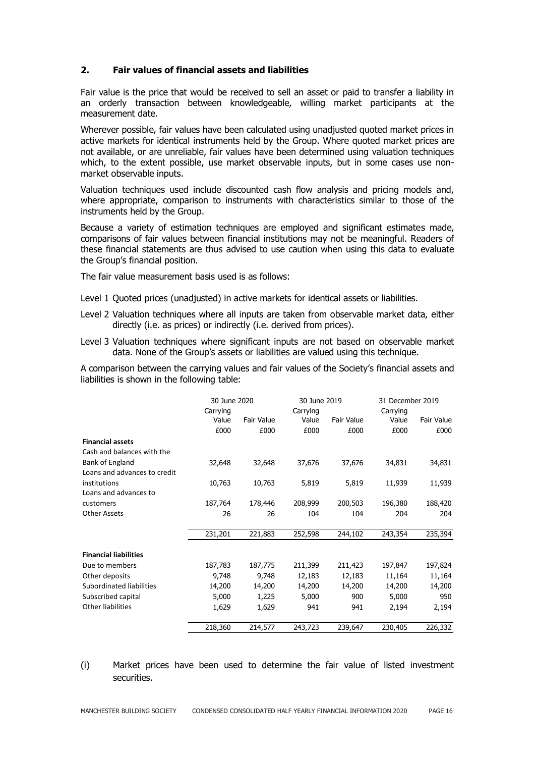# **2. Fair values of financial assets and liabilities**

Fair value is the price that would be received to sell an asset or paid to transfer a liability in an orderly transaction between knowledgeable, willing market participants at the measurement date.

Wherever possible, fair values have been calculated using unadjusted quoted market prices in active markets for identical instruments held by the Group. Where quoted market prices are not available, or are unreliable, fair values have been determined using valuation techniques which, to the extent possible, use market observable inputs, but in some cases use nonmarket observable inputs.

Valuation techniques used include discounted cash flow analysis and pricing models and, where appropriate, comparison to instruments with characteristics similar to those of the instruments held by the Group.

Because a variety of estimation techniques are employed and significant estimates made, comparisons of fair values between financial institutions may not be meaningful. Readers of these financial statements are thus advised to use caution when using this data to evaluate the Group's financial position.

The fair value measurement basis used is as follows:

- Level 1 Quoted prices (unadjusted) in active markets for identical assets or liabilities.
- Level 2 Valuation techniques where all inputs are taken from observable market data, either directly (i.e. as prices) or indirectly (i.e. derived from prices).
- Level 3 Valuation techniques where significant inputs are not based on observable market data. None of the Group's assets or liabilities are valued using this technique.

A comparison between the carrying values and fair values of the Society's financial assets and liabilities is shown in the following table:

|         |                                      |                                                      |                                      | 31 December 2019                                               |                                      |  |
|---------|--------------------------------------|------------------------------------------------------|--------------------------------------|----------------------------------------------------------------|--------------------------------------|--|
|         |                                      |                                                      |                                      |                                                                | Fair Value                           |  |
|         |                                      |                                                      |                                      |                                                                | £000                                 |  |
|         |                                      |                                                      |                                      |                                                                |                                      |  |
|         |                                      |                                                      |                                      |                                                                |                                      |  |
|         |                                      |                                                      |                                      |                                                                |                                      |  |
| 32,648  | 32,648                               | 37,676                                               |                                      | 34,831                                                         | 34,831                               |  |
|         |                                      |                                                      |                                      |                                                                |                                      |  |
| 10,763  | 10,763                               | 5,819                                                | 5,819                                | 11,939                                                         | 11,939                               |  |
|         |                                      |                                                      |                                      |                                                                |                                      |  |
| 187,764 | 178,446                              | 208,999                                              | 200,503                              | 196,380                                                        | 188,420                              |  |
| 26      | 26                                   | 104                                                  | 104                                  | 204                                                            | 204                                  |  |
|         |                                      |                                                      |                                      |                                                                | 235,394                              |  |
|         |                                      |                                                      |                                      |                                                                |                                      |  |
|         |                                      |                                                      |                                      |                                                                |                                      |  |
| 187,783 | 187,775                              | 211,399                                              | 211,423                              | 197,847                                                        | 197,824                              |  |
| 9,748   | 9,748                                | 12,183                                               | 12,183                               | 11,164                                                         | 11,164                               |  |
| 14,200  | 14,200                               | 14,200                                               | 14,200                               | 14,200                                                         | 14,200                               |  |
| 5,000   | 1,225                                | 5,000                                                | 900                                  | 5,000                                                          | 950                                  |  |
| 1,629   | 1,629                                | 941                                                  | 941                                  | 2,194                                                          | 2,194                                |  |
| 218,360 | 214,577                              | 243,723                                              | 239,647                              | 230,405                                                        | 226,332                              |  |
|         | Carrying<br>Value<br>£000<br>231,201 | 30 June 2020<br><b>Fair Value</b><br>£000<br>221,883 | Carrying<br>Value<br>£000<br>252,598 | 30 June 2019<br><b>Fair Value</b><br>£000<br>37,676<br>244,102 | Carrying<br>Value<br>£000<br>243,354 |  |

# (i) Market prices have been used to determine the fair value of listed investment securities.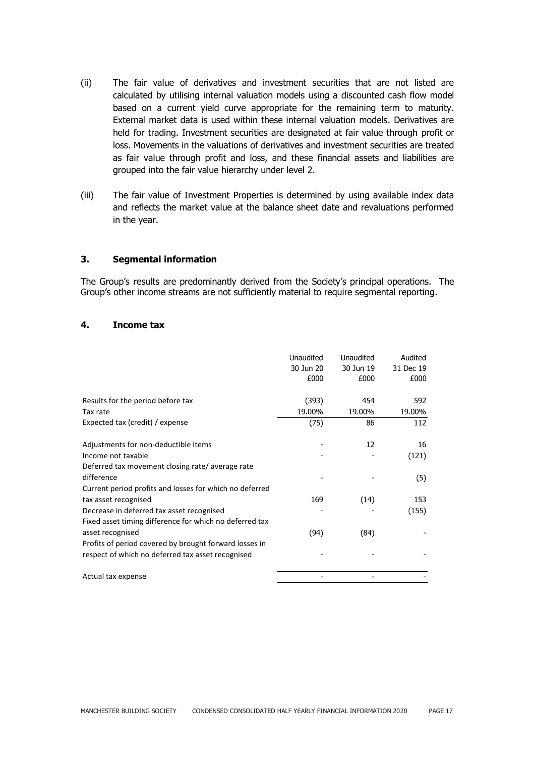- (ii) The fair value of derivatives and investment securities that are not listed are calculated by utilising internal valuation models using a discounted cash flow model based on a current yield curve appropriate for the remaining term to maturity. External market data is used within these internal valuation models. Derivatives are held for trading. Investment securities are designated at fair value through profit or loss. Movements in the valuations of derivatives and investment securities are treated as fair value through profit and loss, and these financial assets and liabilities are grouped into the fair value hierarchy under level 2.
- (iii) The fair value of Investment Properties is determined by using available index data and reflects the market value at the balance sheet date and revaluations performed in the year.

#### **3. Segmental information**

The Group's results are predominantly derived from the Society's principal operations. The Group's other income streams are not sufficiently material to require segmental reporting.

#### **4. Income tax**

|                                                         | Unaudited | <b>Unaudited</b> | Audited   |
|---------------------------------------------------------|-----------|------------------|-----------|
|                                                         | 30 Jun 20 | 30 Jun 19        | 31 Dec 19 |
|                                                         | £000      | £000             | £000      |
|                                                         |           |                  |           |
| Results for the period before tax                       | (393)     | 454              | 592       |
| Tax rate                                                | 19.00%    | 19.00%           | 19.00%    |
| Expected tax (credit) / expense                         | (75)      | 86               | 112       |
| Adjustments for non-deductible items                    |           | 12               | 16        |
| Income not taxable                                      |           |                  | (121)     |
| Deferred tax movement closing rate/average rate         |           |                  |           |
| difference                                              |           |                  | (5)       |
| Current period profits and losses for which no deferred |           |                  |           |
| tax asset recognised                                    | 169       | (14)             | 153       |
| Decrease in deferred tax asset recognised               |           |                  | (155)     |
| Fixed asset timing difference for which no deferred tax |           |                  |           |
| asset recognised                                        | (94)      | (84)             |           |
| Profits of period covered by brought forward losses in  |           |                  |           |
| respect of which no deferred tax asset recognised       |           |                  |           |
| Actual tax expense                                      |           |                  |           |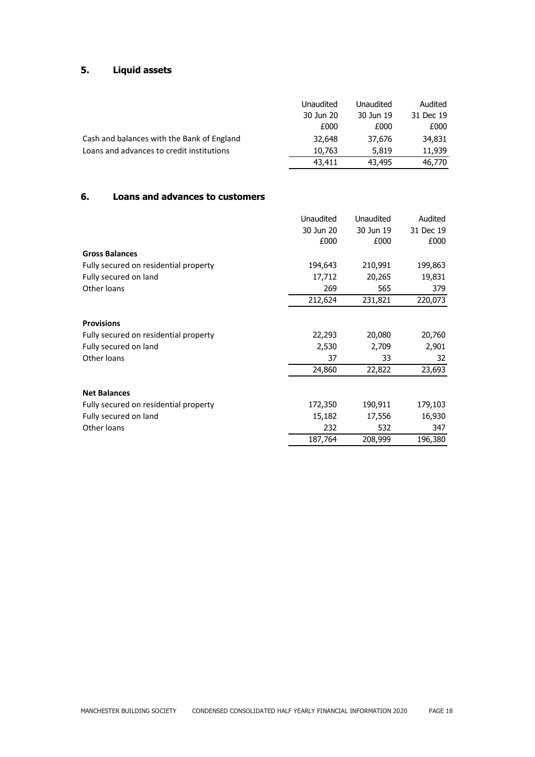# **5. Liquid assets**

|                                            | Unaudited | Unaudited | Audited   |
|--------------------------------------------|-----------|-----------|-----------|
|                                            | 30 Jun 20 | 30 Jun 19 | 31 Dec 19 |
|                                            | £000      | £000      | £000      |
| Cash and balances with the Bank of England | 32,648    | 37,676    | 34,831    |
| Loans and advances to credit institutions  | 10,763    | 5,819     | 11,939    |
|                                            | 43,411    | 43,495    | 46,770    |

# **6. Loans and advances to customers**

|                                       | Unaudited | Unaudited | Audited   |
|---------------------------------------|-----------|-----------|-----------|
|                                       | 30 Jun 20 | 30 Jun 19 | 31 Dec 19 |
|                                       | £000      | £000      | £000      |
| <b>Gross Balances</b>                 |           |           |           |
| Fully secured on residential property | 194,643   | 210,991   | 199,863   |
| Fully secured on land                 | 17,712    | 20,265    | 19,831    |
| Other loans                           | 269       | 565       | 379       |
|                                       | 212,624   | 231,821   | 220,073   |
| <b>Provisions</b>                     |           |           |           |
| Fully secured on residential property | 22,293    | 20,080    | 20,760    |
| Fully secured on land                 | 2,530     | 2,709     | 2,901     |
| Other loans                           | 37        | 33        | 32        |
|                                       | 24,860    | 22,822    | 23,693    |
| <b>Net Balances</b>                   |           |           |           |
| Fully secured on residential property | 172,350   | 190,911   | 179,103   |
| Fully secured on land                 | 15,182    | 17,556    | 16,930    |
| Other loans                           | 232       | 532       | 347       |
|                                       | 187,764   | 208,999   | 196,380   |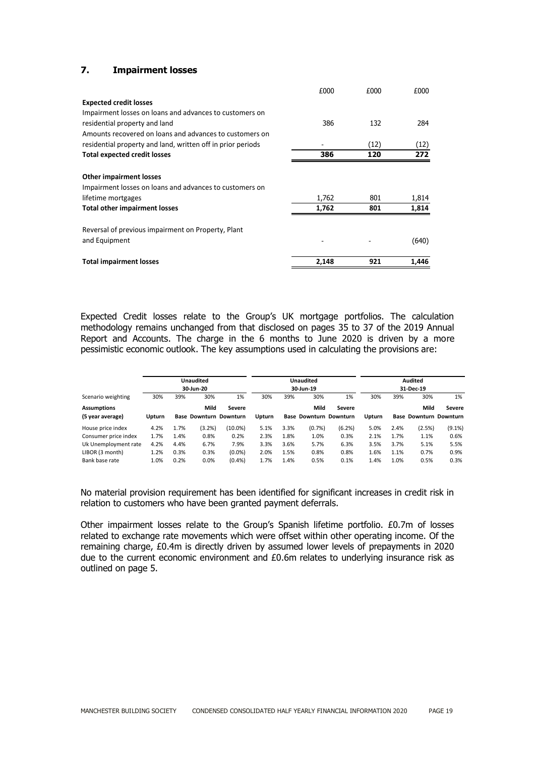# **7. Impairment losses**

|                                                             | £000  | £000 | £000  |
|-------------------------------------------------------------|-------|------|-------|
| <b>Expected credit losses</b>                               |       |      |       |
| Impairment losses on loans and advances to customers on     |       |      |       |
| residential property and land                               | 386   | 132  | 284   |
| Amounts recovered on loans and advances to customers on     |       |      |       |
| residential property and land, written off in prior periods |       | (12) | (12)  |
| <b>Total expected credit losses</b>                         | 386   | 120  | 272   |
| <b>Other impairment losses</b>                              |       |      |       |
| Impairment losses on loans and advances to customers on     |       |      |       |
| lifetime mortgages                                          | 1,762 | 801  | 1,814 |
| <b>Total other impairment losses</b>                        | 1,762 | 801  | 1,814 |
| Reversal of previous impairment on Property, Plant          |       |      |       |
| and Equipment                                               |       |      | (640) |
| <b>Total impairment losses</b>                              | 2,148 | 921  | 1,446 |

Expected Credit losses relate to the Group's UK mortgage portfolios. The calculation methodology remains unchanged from that disclosed on pages 35 to 37 of the 2019 Annual Report and Accounts. The charge in the 6 months to June 2020 is driven by a more pessimistic economic outlook. The key assumptions used in calculating the provisions are:

|                                        | <b>Unaudited</b><br>30-Jun-20 |      |                                       |            |               |      | <b>Unaudited</b><br>30-Jun-19         |        |               |      | <b>Audited</b><br>31-Dec-19           |               |
|----------------------------------------|-------------------------------|------|---------------------------------------|------------|---------------|------|---------------------------------------|--------|---------------|------|---------------------------------------|---------------|
| Scenario weighting                     | 30%                           | 39%  | 30%                                   | 1%         | 30%           | 39%  | 30%                                   | 1%     | 30%           | 39%  | 30%                                   | 1%            |
| <b>Assumptions</b><br>(5 year average) | Upturn                        |      | Mild<br><b>Base Downturn Downturn</b> | Severe     | <b>Upturn</b> |      | Mild<br><b>Base Downturn Downturn</b> | Severe | <b>Upturn</b> |      | Mild<br><b>Base Downturn Downturn</b> | <b>Severe</b> |
| House price index                      | 4.2%                          | 1.7% | (3.2%)                                | $(10.0\%)$ | 5.1%          | 3.3% | (0.7%                                 | (6.2%) | 5.0%          | 2.4% | (2.5%)                                | $(9.1\%)$     |
| Consumer price index                   | 1.7%                          | 1.4% | 0.8%                                  | 0.2%       | 2.3%          | 1.8% | 1.0%                                  | 0.3%   | 2.1%          | 1.7% | 1.1%                                  | 0.6%          |
| Uk Unemployment rate                   | 4.2%                          | 4.4% | 6.7%                                  | 7.9%       | 3.3%          | 3.6% | 5.7%                                  | 6.3%   | 3.5%          | 3.7% | 5.1%                                  | 5.5%          |
| LIBOR (3 month)                        | 1.2%                          | 0.3% | 0.3%                                  | $(0.0\%)$  | 2.0%          | 1.5% | 0.8%                                  | 0.8%   | 1.6%          | 1.1% | 0.7%                                  | 0.9%          |
| Bank base rate                         | 1.0%                          | 0.2% | 0.0%                                  | (0.4% )    | 1.7%          | 1.4% | 0.5%                                  | 0.1%   | 1.4%          | 1.0% | 0.5%                                  | 0.3%          |

No material provision requirement has been identified for significant increases in credit risk in relation to customers who have been granted payment deferrals.

Other impairment losses relate to the Group's Spanish lifetime portfolio. £0.7m of losses related to exchange rate movements which were offset within other operating income. Of the remaining charge, £0.4m is directly driven by assumed lower levels of prepayments in 2020 due to the current economic environment and £0.6m relates to underlying insurance risk as outlined on page 5.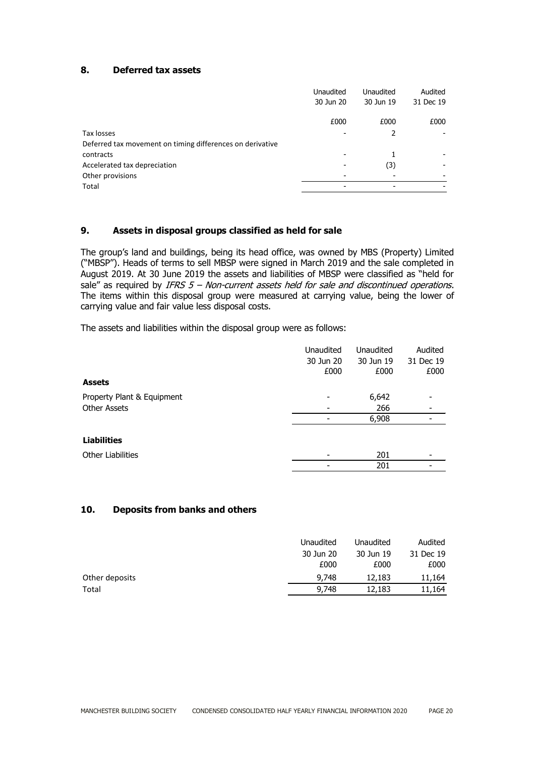# **8. Deferred tax assets**

| <b>Unaudited</b><br>Audited<br><b>Unaudited</b>           |      |
|-----------------------------------------------------------|------|
| 30 Jun 20<br>30 Jun 19<br>31 Dec 19                       |      |
| £000<br>£000                                              | £000 |
| Tax losses<br>2                                           |      |
| Deferred tax movement on timing differences on derivative |      |
| contracts<br>-                                            |      |
| Accelerated tax depreciation<br>(3)                       |      |
| Other provisions                                          |      |
| Total<br>$\overline{\phantom{a}}$<br>-                    |      |

#### **9. Assets in disposal groups classified as held for sale**

The group's land and buildings, being its head office, was owned by MBS (Property) Limited ("MBSP"). Heads of terms to sell MBSP were signed in March 2019 and the sale completed in August 2019. At 30 June 2019 the assets and liabilities of MBSP were classified as "held for sale" as required by IFRS  $5$  – Non-current assets held for sale and discontinued operations. The items within this disposal group were measured at carrying value, being the lower of carrying value and fair value less disposal costs.

The assets and liabilities within the disposal group were as follows:

|                            | <b>Unaudited</b> | <b>Unaudited</b> | Audited   |
|----------------------------|------------------|------------------|-----------|
|                            | 30 Jun 20        | 30 Jun 19        | 31 Dec 19 |
|                            | £000             | £000             | £000      |
| <b>Assets</b>              |                  |                  |           |
| Property Plant & Equipment |                  | 6,642            |           |
| <b>Other Assets</b>        |                  | 266              |           |
|                            |                  | 6,908            |           |
| <b>Liabilities</b>         |                  |                  |           |
| <b>Other Liabilities</b>   |                  | 201              |           |
|                            |                  | 201              |           |

#### **10. Deposits from banks and others**

|                | Unaudited | Unaudited | Audited   |
|----------------|-----------|-----------|-----------|
|                | 30 Jun 20 | 30 Jun 19 | 31 Dec 19 |
|                | £000      | £000      | £000      |
| Other deposits | 9,748     | 12,183    | 11,164    |
| Total          | 9,748     | 12,183    | 11,164    |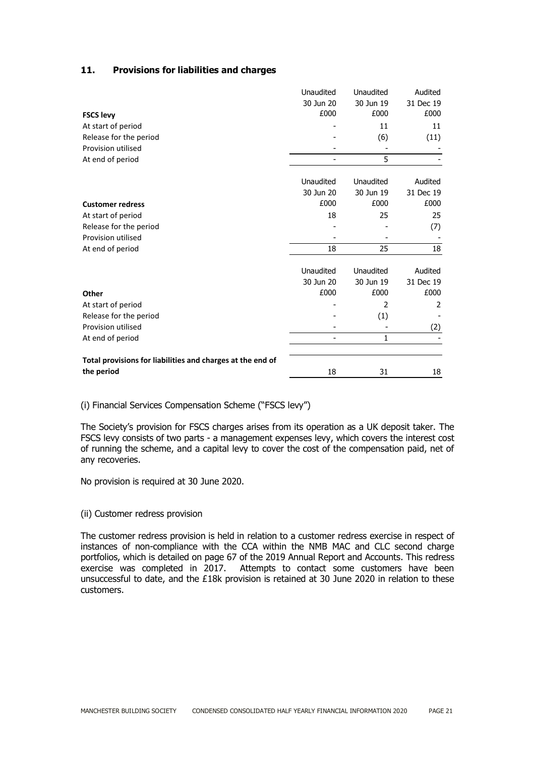# **11. Provisions for liabilities and charges**

|                                                            | Unaudited                | Unaudited      | Audited   |
|------------------------------------------------------------|--------------------------|----------------|-----------|
|                                                            | 30 Jun 20                | 30 Jun 19      | 31 Dec 19 |
| <b>FSCS levy</b>                                           | £000                     | £000           | £000      |
| At start of period                                         |                          | 11             | 11        |
| Release for the period                                     |                          | (6)            | (11)      |
| Provision utilised                                         |                          |                |           |
| At end of period                                           | $\overline{\phantom{0}}$ | 5              |           |
|                                                            | Unaudited                | Unaudited      | Audited   |
|                                                            | 30 Jun 20                | 30 Jun 19      | 31 Dec 19 |
| <b>Customer redress</b>                                    | £000                     | £000           | £000      |
| At start of period                                         | 18                       | 25             | 25        |
| Release for the period                                     |                          |                | (7)       |
| Provision utilised                                         |                          |                |           |
| At end of period                                           | 18                       | 25             | 18        |
|                                                            | Unaudited                | Unaudited      | Audited   |
|                                                            | 30 Jun 20                | 30 Jun 19      | 31 Dec 19 |
| Other                                                      | £000                     | £000           | £000      |
| At start of period                                         |                          | $\overline{2}$ | 2         |
| Release for the period                                     |                          | (1)            |           |
| Provision utilised                                         |                          |                | (2)       |
| At end of period                                           |                          | 1              |           |
| Total provisions for liabilities and charges at the end of |                          |                |           |
| the period                                                 | 18                       | 31             | 18        |

(i) Financial Services Compensation Scheme ("FSCS levy")

The Society's provision for FSCS charges arises from its operation as a UK deposit taker. The FSCS levy consists of two parts - a management expenses levy, which covers the interest cost of running the scheme, and a capital levy to cover the cost of the compensation paid, net of any recoveries.

No provision is required at 30 June 2020.

#### (ii) Customer redress provision

The customer redress provision is held in relation to a customer redress exercise in respect of instances of non-compliance with the CCA within the NMB MAC and CLC second charge portfolios, which is detailed on page 67 of the 2019 Annual Report and Accounts. This redress exercise was completed in 2017. Attempts to contact some customers have been unsuccessful to date, and the £18k provision is retained at 30 June 2020 in relation to these customers.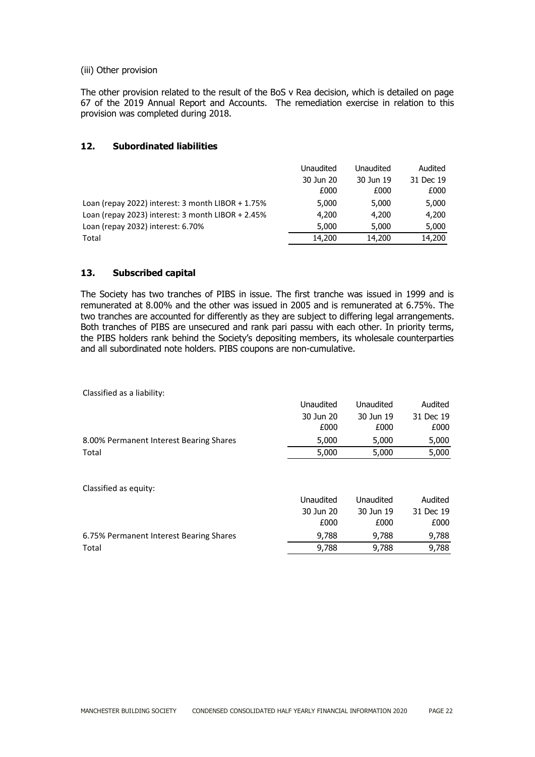#### (iii) Other provision

The other provision related to the result of the BoS v Rea decision, which is detailed on page 67 of the 2019 Annual Report and Accounts. The remediation exercise in relation to this provision was completed during 2018.

## **12. Subordinated liabilities**

|                                                     | Unaudited | Unaudited | Audited   |
|-----------------------------------------------------|-----------|-----------|-----------|
|                                                     | 30 Jun 20 | 30 Jun 19 | 31 Dec 19 |
|                                                     | £000      | £000      | £000      |
| Loan (repay 2022) interest: $3$ month LIBOR + 1.75% | 5,000     | 5,000     | 5,000     |
| Loan (repay 2023) interest: $3$ month LIBOR + 2.45% | 4,200     | 4,200     | 4,200     |
| Loan (repay 2032) interest: 6.70%                   | 5,000     | 5,000     | 5,000     |
| Total                                               | 14,200    | 14,200    | 14,200    |

## **13. Subscribed capital**

The Society has two tranches of PIBS in issue. The first tranche was issued in 1999 and is remunerated at 8.00% and the other was issued in 2005 and is remunerated at 6.75%. The two tranches are accounted for differently as they are subject to differing legal arrangements. Both tranches of PIBS are unsecured and rank pari passu with each other. In priority terms, the PIBS holders rank behind the Society's depositing members, its wholesale counterparties and all subordinated note holders. PIBS coupons are non-cumulative.

Classified as a liability:

| 30 Jun 19<br>30 Jun 20<br>31 Dec 19<br>£000<br>£000<br>£000<br>5,000<br>5,000<br>5,000<br>5,000<br>5,000<br>5,000<br>Total<br>Unaudited<br>Unaudited<br>Audited<br>30 Jun 20<br>30 Jun 19<br>31 Dec 19<br>£000<br>£000<br>£000<br>9,788<br>9,788<br>9,788<br>9,788<br>9,788<br>9,788<br>Total |                                         | Unaudited | <b>Unaudited</b> | Audited |
|-----------------------------------------------------------------------------------------------------------------------------------------------------------------------------------------------------------------------------------------------------------------------------------------------|-----------------------------------------|-----------|------------------|---------|
|                                                                                                                                                                                                                                                                                               |                                         |           |                  |         |
|                                                                                                                                                                                                                                                                                               |                                         |           |                  |         |
|                                                                                                                                                                                                                                                                                               | 8.00% Permanent Interest Bearing Shares |           |                  |         |
|                                                                                                                                                                                                                                                                                               |                                         |           |                  |         |
|                                                                                                                                                                                                                                                                                               | Classified as equity:                   |           |                  |         |
|                                                                                                                                                                                                                                                                                               |                                         |           |                  |         |
|                                                                                                                                                                                                                                                                                               |                                         |           |                  |         |
|                                                                                                                                                                                                                                                                                               |                                         |           |                  |         |
|                                                                                                                                                                                                                                                                                               | 6.75% Permanent Interest Bearing Shares |           |                  |         |
|                                                                                                                                                                                                                                                                                               |                                         |           |                  |         |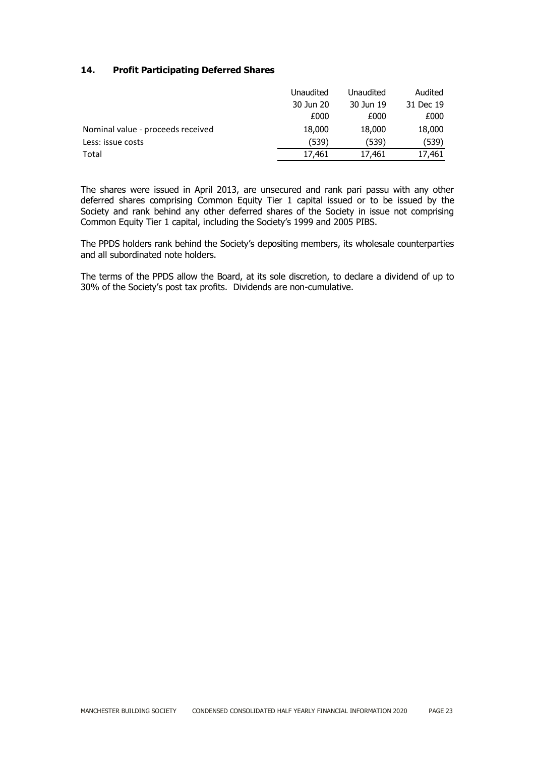# **14. Profit Participating Deferred Shares**

|                                   | Unaudited | Unaudited | Audited   |
|-----------------------------------|-----------|-----------|-----------|
|                                   | 30 Jun 20 | 30 Jun 19 | 31 Dec 19 |
|                                   | £000      | £000      | £000      |
| Nominal value - proceeds received | 18,000    | 18,000    | 18,000    |
| Less: issue costs                 | (539)     | (539)     | (539)     |
| Total                             | 17,461    | 17,461    | 17,461    |

The shares were issued in April 2013, are unsecured and rank pari passu with any other deferred shares comprising Common Equity Tier 1 capital issued or to be issued by the Society and rank behind any other deferred shares of the Society in issue not comprising Common Equity Tier 1 capital, including the Society's 1999 and 2005 PIBS.

The PPDS holders rank behind the Society's depositing members, its wholesale counterparties and all subordinated note holders.

The terms of the PPDS allow the Board, at its sole discretion, to declare a dividend of up to 30% of the Society's post tax profits. Dividends are non-cumulative.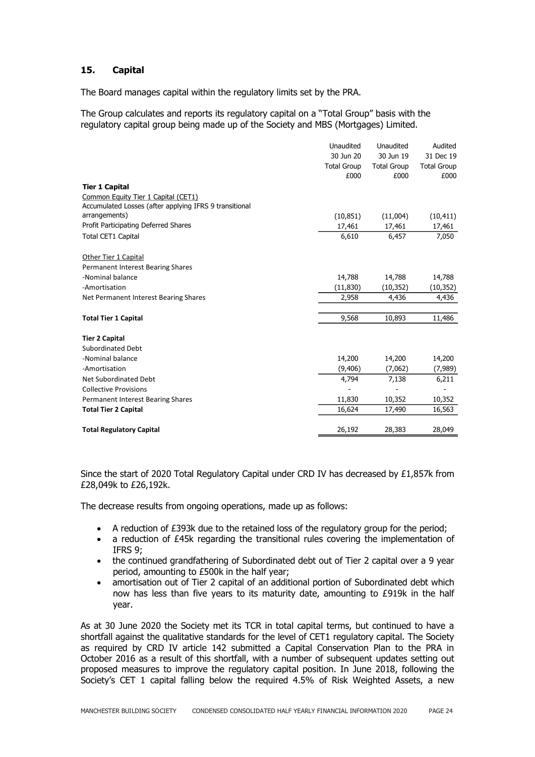# **15. Capital**

The Board manages capital within the regulatory limits set by the PRA.

The Group calculates and reports its regulatory capital on a "Total Group" basis with the regulatory capital group being made up of the Society and MBS (Mortgages) Limited.

|                                                        | Unaudited<br>30 Jun 20<br><b>Total Group</b><br>£000 | Unaudited<br>30 Jun 19<br><b>Total Group</b><br>£000 | Audited<br>31 Dec 19<br><b>Total Group</b><br>£000 |
|--------------------------------------------------------|------------------------------------------------------|------------------------------------------------------|----------------------------------------------------|
| <b>Tier 1 Capital</b>                                  |                                                      |                                                      |                                                    |
| Common Equity Tier 1 Capital (CET1)                    |                                                      |                                                      |                                                    |
| Accumulated Losses (after applying IFRS 9 transitional |                                                      |                                                      |                                                    |
| arrangements)                                          | (10, 851)                                            | (11,004)                                             | (10, 411)                                          |
| Profit Participating Deferred Shares                   | 17,461                                               | 17,461                                               | 17,461                                             |
| <b>Total CET1 Capital</b>                              | 6,610                                                | 6,457                                                | 7,050                                              |
| Other Tier 1 Capital                                   |                                                      |                                                      |                                                    |
| Permanent Interest Bearing Shares                      |                                                      |                                                      |                                                    |
| -Nominal balance                                       | 14,788                                               | 14,788                                               | 14,788                                             |
| -Amortisation                                          | (11, 830)                                            | (10, 352)                                            | (10, 352)                                          |
| Net Permanent Interest Bearing Shares                  | 2,958                                                | 4,436                                                | 4,436                                              |
| <b>Total Tier 1 Capital</b>                            | 9,568                                                | 10,893                                               | 11,486                                             |
| <b>Tier 2 Capital</b>                                  |                                                      |                                                      |                                                    |
| <b>Subordinated Debt</b>                               |                                                      |                                                      |                                                    |
| -Nominal balance                                       | 14,200                                               | 14,200                                               | 14,200                                             |
| -Amortisation                                          | (9,406)                                              | (7,062)                                              | (7,989)                                            |
| Net Subordinated Debt                                  | 4,794                                                | 7,138                                                | 6,211                                              |
| <b>Collective Provisions</b>                           |                                                      |                                                      |                                                    |
| Permanent Interest Bearing Shares                      | 11,830                                               | 10,352                                               | 10,352                                             |
| <b>Total Tier 2 Capital</b>                            | 16,624                                               | 17,490                                               | 16,563                                             |
| <b>Total Regulatory Capital</b>                        | 26,192                                               | 28,383                                               | 28,049                                             |

Since the start of 2020 Total Regulatory Capital under CRD IV has decreased by £1,857k from £28,049k to £26,192k.

The decrease results from ongoing operations, made up as follows:

- $\bullet$  A reduction of £393k due to the retained loss of the regulatory group for the period;
- a reduction of £45k regarding the transitional rules covering the implementation of IFRS 9;
- the continued grandfathering of Subordinated debt out of Tier 2 capital over a 9 year period, amounting to £500k in the half year;
- amortisation out of Tier 2 capital of an additional portion of Subordinated debt which now has less than five years to its maturity date, amounting to £919k in the half year.

As at 30 June 2020 the Society met its TCR in total capital terms, but continued to have a shortfall against the qualitative standards for the level of CET1 regulatory capital. The Society as required by CRD IV article 142 submitted a Capital Conservation Plan to the PRA in October 2016 as a result of this shortfall, with a number of subsequent updates setting out proposed measures to improve the regulatory capital position. In June 2018, following the Society's CET 1 capital falling below the required 4.5% of Risk Weighted Assets, a new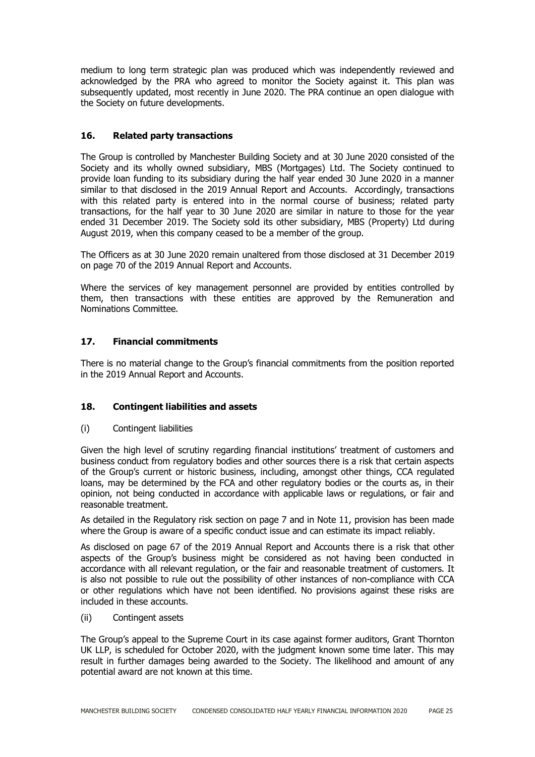medium to long term strategic plan was produced which was independently reviewed and acknowledged by the PRA who agreed to monitor the Society against it. This plan was subsequently updated, most recently in June 2020. The PRA continue an open dialogue with the Society on future developments.

# **16. Related party transactions**

The Group is controlled by Manchester Building Society and at 30 June 2020 consisted of the Society and its wholly owned subsidiary, MBS (Mortgages) Ltd. The Society continued to provide loan funding to its subsidiary during the half year ended 30 June 2020 in a manner similar to that disclosed in the 2019 Annual Report and Accounts. Accordingly, transactions with this related party is entered into in the normal course of business; related party transactions, for the half year to 30 June 2020 are similar in nature to those for the year ended 31 December 2019. The Society sold its other subsidiary, MBS (Property) Ltd during August 2019, when this company ceased to be a member of the group.

The Officers as at 30 June 2020 remain unaltered from those disclosed at 31 December 2019 on page 70 of the 2019 Annual Report and Accounts.

Where the services of key management personnel are provided by entities controlled by them, then transactions with these entities are approved by the Remuneration and Nominations Committee.

# **17. Financial commitments**

There is no material change to the Group's financial commitments from the position reported in the 2019 Annual Report and Accounts.

## **18. Contingent liabilities and assets**

(i) Contingent liabilities

Given the high level of scrutiny regarding financial institutions' treatment of customers and business conduct from regulatory bodies and other sources there is a risk that certain aspects of the Group's current or historic business, including, amongst other things, CCA regulated loans, may be determined by the FCA and other regulatory bodies or the courts as, in their opinion, not being conducted in accordance with applicable laws or regulations, or fair and reasonable treatment.

As detailed in the Regulatory risk section on page 7 and in Note 11, provision has been made where the Group is aware of a specific conduct issue and can estimate its impact reliably.

As disclosed on page 67 of the 2019 Annual Report and Accounts there is a risk that other aspects of the Group's business might be considered as not having been conducted in accordance with all relevant regulation, or the fair and reasonable treatment of customers. It is also not possible to rule out the possibility of other instances of non-compliance with CCA or other regulations which have not been identified. No provisions against these risks are included in these accounts.

(ii) Contingent assets

The Group's appeal to the Supreme Court in its case against former auditors, Grant Thornton UK LLP, is scheduled for October 2020, with the judgment known some time later. This may result in further damages being awarded to the Society. The likelihood and amount of any potential award are not known at this time.